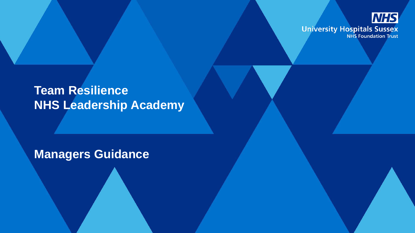

University Hospitals Sussex

# **Team Resilience NHS Leadership Academy**

**Managers Guidance**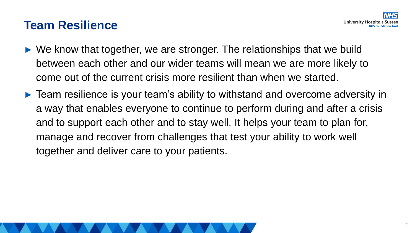#### **Team Resilience**

- ► We know that together, we are stronger. The relationships that we build between each other and our wider teams will mean we are more likely to come out of the current crisis more resilient than when we started.
- ► Team resilience is your team's ability to withstand and overcome adversity in a way that enables everyone to continue to perform during and after a crisis and to support each other and to stay well. It helps your team to plan for, manage and recover from challenges that test your ability to work well together and deliver care to your patients.

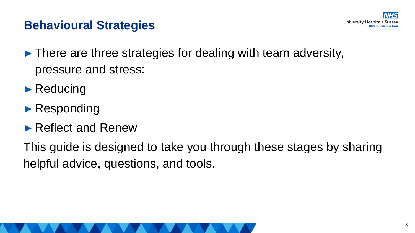#### **Behavioural Strategies**

- ► There are three strategies for dealing with team adversity, pressure and stress:
- ► Reducing
- ► Responding
- ► Reflect and Renew

This guide is designed to take you through these stages by sharing helpful advice, questions, and tools.

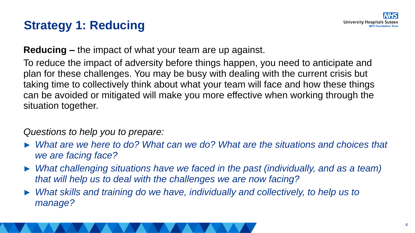# **Strategy 1: Reducing**

**Reducing –** the impact of what your team are up against.

To reduce the impact of adversity before things happen, you need to anticipate and plan for these challenges. You may be busy with dealing with the current crisis but taking time to collectively think about what your team will face and how these things can be avoided or mitigated will make you more effective when working through the situation together.

*Questions to help you to prepare:*

- ► *What are we here to do? What can we do? What are the situations and choices that we are facing face?*
- ► *What challenging situations have we faced in the past (individually, and as a team) that will help us to deal with the challenges we are now facing?*
- ► *What skills and training do we have, individually and collectively, to help us to manage?*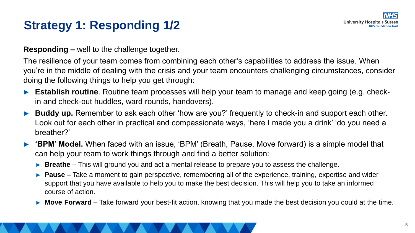# **Strategy 1: Responding 1/2**

**Responding –** well to the challenge together.

The resilience of your team comes from combining each other's capabilities to address the issue. When you're in the middle of dealing with the crisis and your team encounters challenging circumstances, consider doing the following things to help you get through:

- **Establish routine**. Routine team processes will help your team to manage and keep going (e.g. checkin and check-out huddles, ward rounds, handovers).
- **Buddy up.** Remember to ask each other 'how are you?' frequently to check-in and support each other. Look out for each other in practical and compassionate ways, 'here I made you a drink' 'do you need a breather?'
- ► **'BPM' Model.** When faced with an issue, 'BPM' (Breath, Pause, Move forward) is a simple model that can help your team to work things through and find a better solution:
	- ► **Breathe** This will ground you and act a mental release to prepare you to assess the challenge.
	- ► **Pause** Take a moment to gain perspective, remembering all of the experience, training, expertise and wider support that you have available to help you to make the best decision. This will help you to take an informed course of action.
	- ► **Move Forward** Take forward your best-fit action, knowing that you made the best decision you could at the time.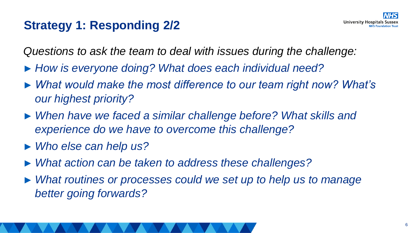# **Strategy 1: Responding 2/2**

*Questions to ask the team to deal with issues during the challenge:*

- ► *How is everyone doing? What does each individual need?*
- ► *What would make the most difference to our team right now? What's our highest priority?*
- ► *When have we faced a similar challenge before? What skills and experience do we have to overcome this challenge?*
- ► *Who else can help us?*
- ► *What action can be taken to address these challenges?*
- ► *What routines or processes could we set up to help us to manage better going forwards?*

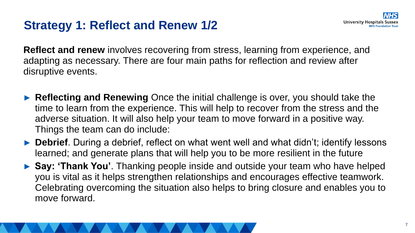## **Strategy 1: Reflect and Renew 1/2**

**Reflect and renew** involves recovering from stress, learning from experience, and adapting as necessary. There are four main paths for reflection and review after disruptive events.

- ► **Reflecting and Renewing** Once the initial challenge is over, you should take the time to learn from the experience. This will help to recover from the stress and the adverse situation. It will also help your team to move forward in a positive way. Things the team can do include:
- ► **Debrief**. During a debrief, reflect on what went well and what didn't; identify lessons learned; and generate plans that will help you to be more resilient in the future
- ► **Say: 'Thank You'**. Thanking people inside and outside your team who have helped you is vital as it helps strengthen relationships and encourages effective teamwork. Celebrating overcoming the situation also helps to bring closure and enables you to move forward.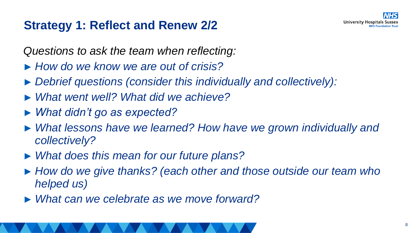

#### **Strategy 1: Reflect and Renew 2/2**

*Questions to ask the team when reflecting:*

- ► *How do we know we are out of crisis?*
- ► *Debrief questions (consider this individually and collectively):*
- ► *What went well? What did we achieve?*
- ► *What didn't go as expected?*
- ► *What lessons have we learned? How have we grown individually and collectively?*
- ► *What does this mean for our future plans?*
- ► *How do we give thanks? (each other and those outside our team who helped us)*
- ► *What can we celebrate as we move forward?*